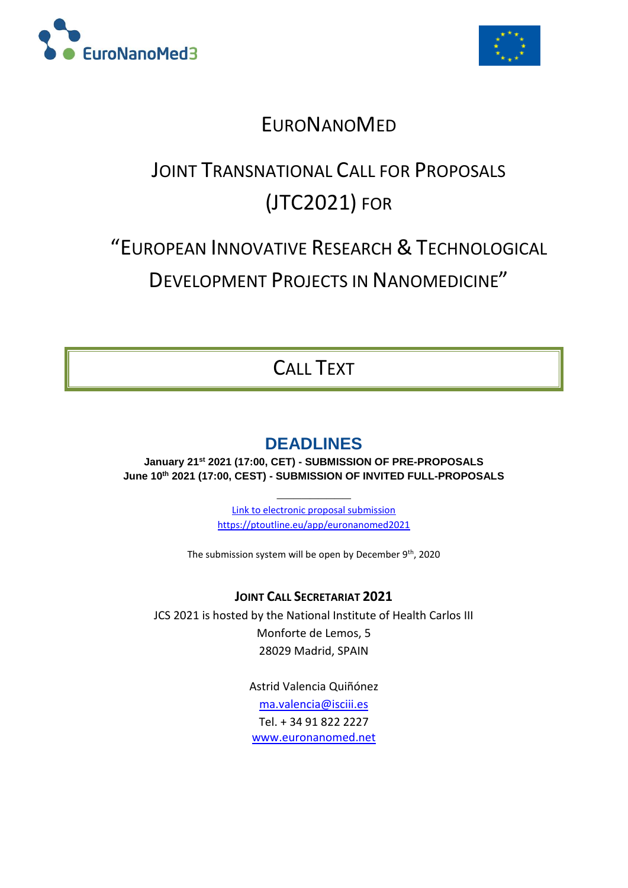



## **EURONANOMED**

# JOINT TRANSNATIONAL CALL FOR PROPOSALS (JTC2021) FOR

# "EUROPEAN INNOVATIVE RESEARCH & TECHNOLOGICAL

DEVELOPMENT PROJECTS IN NANOMEDICINE"

## CALL TEXT

## **DEADLINES**

**January 21 st 2021 (17:00, CET) - SUBMISSION OF PRE-PROPOSALS June 10 th 2021 (17:00, CEST) - SUBMISSION OF INVITED FULL-PROPOSALS**

> Link to electronic proposal submission <https://ptoutline.eu/app/euronanomed2021>

**\_\_\_\_\_\_\_\_\_**

The submission system will be open by December 9th, 2020

## **JOINT CALL SECRETARIAT 2021**

JCS 2021 is hosted by the National Institute of Health Carlos III Monforte de Lemos, 5 28029 Madrid, SPAIN

> Astrid Valencia Quiñónez [ma.valencia@isciii.es](mailto:ma.valencia@isciii.es) Tel. + 34 91 822 2227 [www.euronanomed.net](http://www.euronanomed.net/)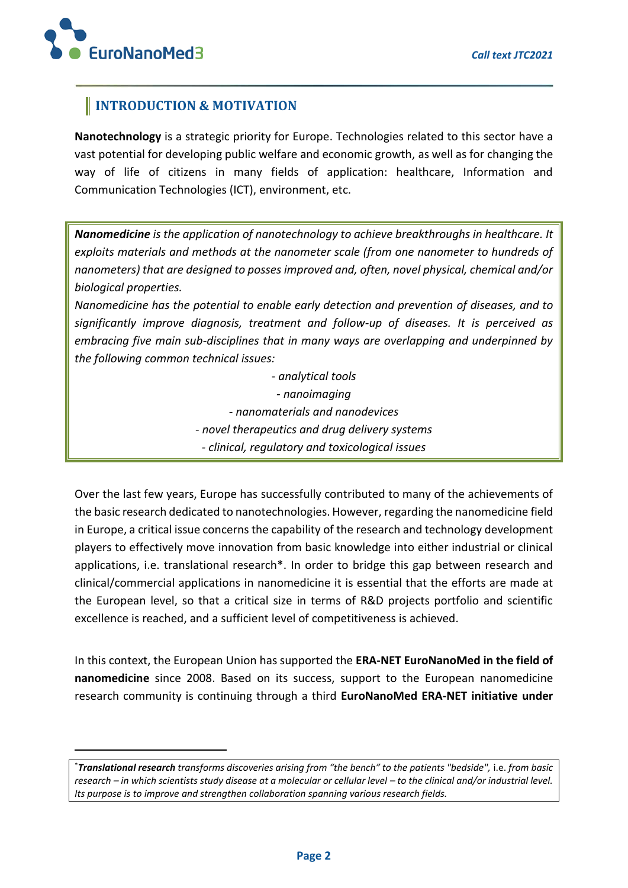**.** 

## **INTRODUCTION & MOTIVATION**

**Nanotechnology** is a strategic priority for Europe. Technologies related to this sector have a vast potential for developing public welfare and economic growth, as well as for changing the way of life of citizens in many fields of application: healthcare, Information and Communication Technologies (ICT), environment, etc.

*Nanomedicine is the application of nanotechnology to achieve breakthroughs in healthcare. It exploits materials and methods at the nanometer scale (from one nanometer to hundreds of nanometers) that are designed to posses improved and, often, novel physical, chemical and/or biological properties.*

*Nanomedicine has the potential to enable early detection and prevention of diseases, and to significantly improve diagnosis, treatment and follow-up of diseases. It is perceived as embracing five main sub-disciplines that in many ways are overlapping and underpinned by the following common technical issues:* 

> *- analytical tools - nanoimaging - nanomaterials and nanodevices - novel therapeutics and drug delivery systems - clinical, regulatory and toxicological issues*

Over the last few years, Europe has successfully contributed to many of the achievements of the basic research dedicated to nanotechnologies. However, regarding the nanomedicine field in Europe, a critical issue concerns the capability of the research and technology development players to effectively move innovation from basic knowledge into either industrial or clinical applications, i.e. translational research\*. In order to bridge this gap between research and clinical/commercial applications in nanomedicine it is essential that the efforts are made at the European level, so that a critical size in terms of R&D projects portfolio and scientific excellence is reached, and a sufficient level of competitiveness is achieved.

In this context, the European Union has supported the **ERA-NET EuroNanoMed in the field of nanomedicine** since 2008. Based on its success, support to the European nanomedicine research community is continuing through a third **EuroNanoMed ERA-NET initiative under** 

<sup>\*</sup>*Translational research transforms discoveries arising from "the bench" to the patients "bedside",* i.e. *from basic research – in which scientists study disease at a molecular or cellular level – to the clinical and/or industrial level. Its purpose is to improve and strengthen collaboration spanning various research fields.*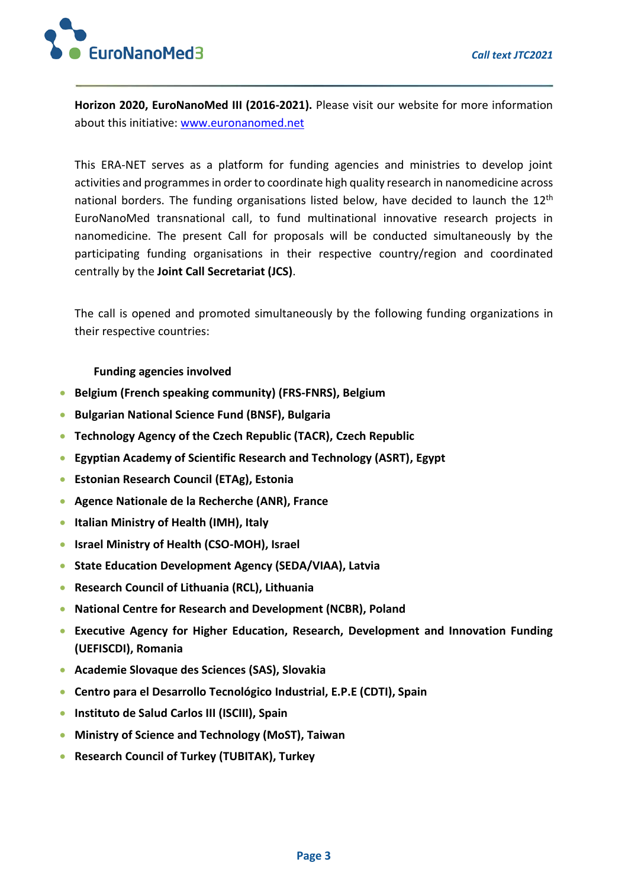

**Horizon 2020, EuroNanoMed III (2016-2021).** Please visit our website for more information about this initiative: [www.euronanomed.net](http://www.euronanomed.net/)

This ERA-NET serves as a platform for funding agencies and ministries to develop joint activities and programmes in order to coordinate high quality research in nanomedicine across national borders. The funding organisations listed below, have decided to launch the 12<sup>th</sup> EuroNanoMed transnational call, to fund multinational innovative research projects in nanomedicine. The present Call for proposals will be conducted simultaneously by the participating funding organisations in their respective country/region and coordinated centrally by the **Joint Call Secretariat (JCS)**.

The call is opened and promoted simultaneously by the following funding organizations in their respective countries:

#### **Funding agencies involved**

- **Belgium (French speaking community) (FRS-FNRS), Belgium**
- **Bulgarian National Science Fund (BNSF), Bulgaria**
- **Technology Agency of the Czech Republic (TACR), Czech Republic**
- **Egyptian Academy of Scientific Research and Technology (ASRT), Egypt**
- **Estonian Research Council (ETAg), Estonia**
- **Agence Nationale de la Recherche (ANR), France**
- **Italian Ministry of Health (IMH), Italy**
- **Israel Ministry of Health (CSO-MOH), Israel**
- **State Education Development Agency (SEDA/VIAA), Latvia**
- **Research Council of Lithuania (RCL), Lithuania**
- **National Centre for Research and Development (NCBR), Poland**
- **Executive Agency for Higher Education, Research, Development and Innovation Funding (UEFISCDI), Romania**
- **Academie Slovaque des Sciences (SAS), Slovakia**
- **Centro para el Desarrollo Tecnológico Industrial, E.P.E (CDTI), Spain**
- **Instituto de Salud Carlos III (ISCIII), Spain**
- **Ministry of Science and Technology (MoST), Taiwan**
- **Research Council of Turkey (TUBITAK), Turkey**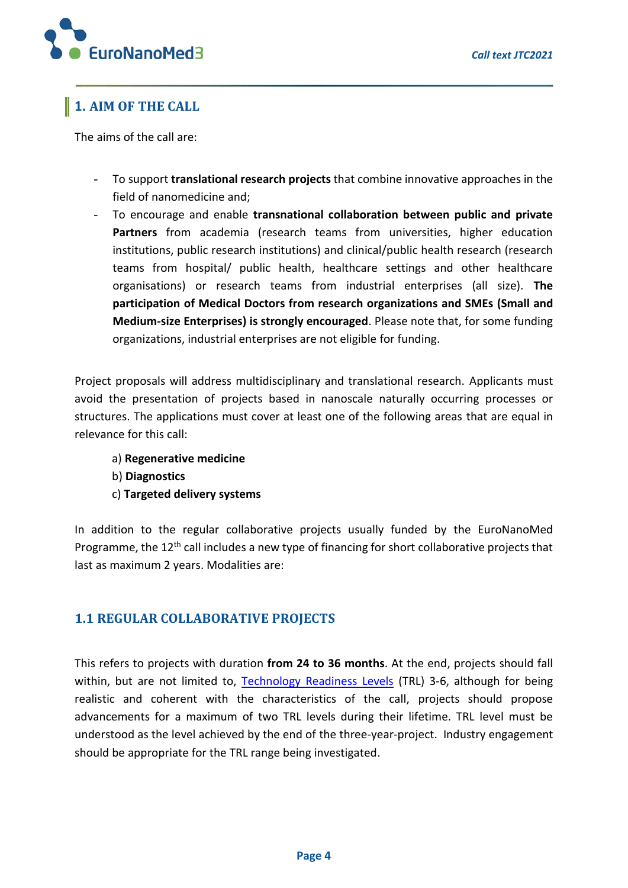

## **1. AIM OF THE CALL**

The aims of the call are:

- To support **translational research projects** that combine innovative approaches in the field of nanomedicine and;
- To encourage and enable **transnational collaboration between public and private Partners** from academia (research teams from universities, higher education institutions, public research institutions) and clinical/public health research (research teams from hospital/ public health, healthcare settings and other healthcare organisations) or research teams from industrial enterprises (all size). **The participation of Medical Doctors from research organizations and SMEs (Small and Medium-size Enterprises) is strongly encouraged**. Please note that, for some funding organizations, industrial enterprises are not eligible for funding.

Project proposals will address multidisciplinary and translational research. Applicants must avoid the presentation of projects based in nanoscale naturally occurring processes or structures. The applications must cover at least one of the following areas that are equal in relevance for this call:

- a) **Regenerative medicine**
- b) **Diagnostics**
- c) **Targeted delivery systems**

In addition to the regular collaborative projects usually funded by the EuroNanoMed Programme, the 12<sup>th</sup> call includes a new type of financing for short collaborative projects that last as maximum 2 years. Modalities are:

## **1.1 REGULAR COLLABORATIVE PROJECTS**

This refers to projects with duration **from 24 to 36 months**. At the end, projects should fall within, but are not limited to, [Technology Readiness Levels](https://ec.europa.eu/research/participants/data/ref/h2020/other/wp/2018-2020/annexes/h2020-wp1820-annex-g-trl_en.pdf) (TRL) 3-6, although for being realistic and coherent with the characteristics of the call, projects should propose advancements for a maximum of two TRL levels during their lifetime. TRL level must be understood as the level achieved by the end of the three-year-project. Industry engagement should be appropriate for the TRL range being investigated.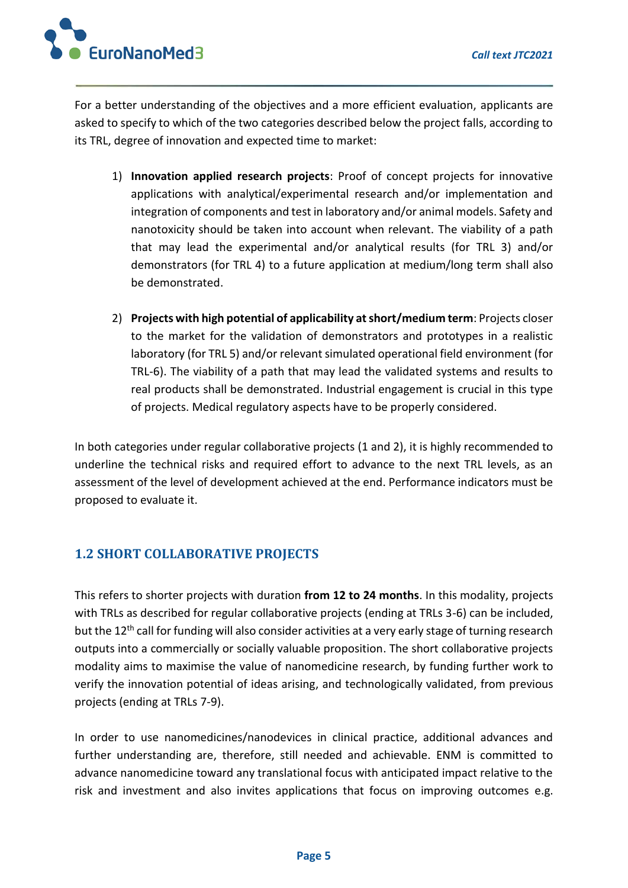

For a better understanding of the objectives and a more efficient evaluation, applicants are asked to specify to which of the two categories described below the project falls, according to its TRL, degree of innovation and expected time to market:

- 1) **Innovation applied research projects**: Proof of concept projects for innovative applications with analytical/experimental research and/or implementation and integration of components and test in laboratory and/or animal models. Safety and nanotoxicity should be taken into account when relevant. The viability of a path that may lead the experimental and/or analytical results (for TRL 3) and/or demonstrators (for TRL 4) to a future application at medium/long term shall also be demonstrated.
- 2) **Projects with high potential of applicability at short/medium term**: Projects closer to the market for the validation of demonstrators and prototypes in a realistic laboratory (for TRL 5) and/or relevant simulated operational field environment (for TRL-6). The viability of a path that may lead the validated systems and results to real products shall be demonstrated. Industrial engagement is crucial in this type of projects. Medical regulatory aspects have to be properly considered.

In both categories under regular collaborative projects (1 and 2), it is highly recommended to underline the technical risks and required effort to advance to the next TRL levels, as an assessment of the level of development achieved at the end. Performance indicators must be proposed to evaluate it.

## **1.2 SHORT COLLABORATIVE PROJECTS**

This refers to shorter projects with duration **from 12 to 24 months**. In this modality, projects with TRLs as described for regular collaborative projects (ending at TRLs 3-6) can be included, but the 12<sup>th</sup> call for funding will also consider activities at a very early stage of turning research outputs into a commercially or socially valuable proposition. The short collaborative projects modality aims to maximise the value of nanomedicine research, by funding further work to verify the innovation potential of ideas arising, and technologically validated, from previous projects (ending at TRLs 7-9).

In order to use nanomedicines/nanodevices in clinical practice, additional advances and further understanding are, therefore, still needed and achievable. ENM is committed to advance nanomedicine toward any translational focus with anticipated impact relative to the risk and investment and also invites applications that focus on improving outcomes e.g.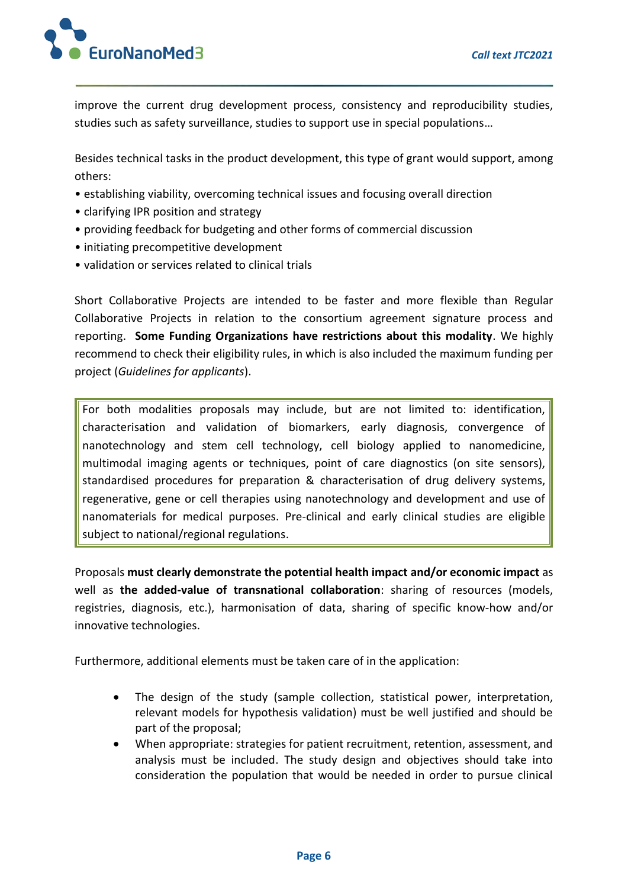

improve the current drug development process, consistency and reproducibility studies, studies such as safety surveillance, studies to support use in special populations…

Besides technical tasks in the product development, this type of grant would support, among others:

- establishing viability, overcoming technical issues and focusing overall direction
- clarifying IPR position and strategy
- providing feedback for budgeting and other forms of commercial discussion
- initiating precompetitive development
- validation or services related to clinical trials

Short Collaborative Projects are intended to be faster and more flexible than Regular Collaborative Projects in relation to the consortium agreement signature process and reporting. **Some Funding Organizations have restrictions about this modality**. We highly recommend to check their eligibility rules, in which is also included the maximum funding per project (*Guidelines for applicants*).

For both modalities proposals may include, but are not limited to: identification, characterisation and validation of biomarkers, early diagnosis, convergence of nanotechnology and stem cell technology, cell biology applied to nanomedicine, multimodal imaging agents or techniques, point of care diagnostics (on site sensors), standardised procedures for preparation & characterisation of drug delivery systems, regenerative, gene or cell therapies using nanotechnology and development and use of nanomaterials for medical purposes. Pre-clinical and early clinical studies are eligible subject to national/regional regulations.

Proposals **must clearly demonstrate the potential health impact and/or economic impact** as well as **the added-value of transnational collaboration**: sharing of resources (models, registries, diagnosis, etc.), harmonisation of data, sharing of specific know-how and/or innovative technologies.

Furthermore, additional elements must be taken care of in the application:

- The design of the study (sample collection, statistical power, interpretation, relevant models for hypothesis validation) must be well justified and should be part of the proposal;
- When appropriate: strategies for patient recruitment, retention, assessment, and analysis must be included. The study design and objectives should take into consideration the population that would be needed in order to pursue clinical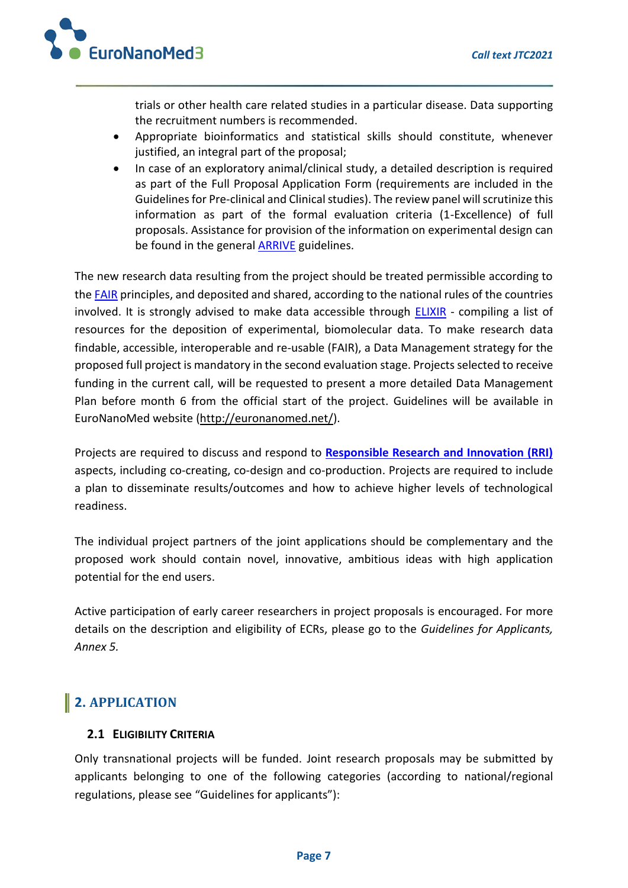

trials or other health care related studies in a particular disease. Data supporting the recruitment numbers is recommended.

- Appropriate bioinformatics and statistical skills should constitute, whenever justified, an integral part of the proposal;
- In case of an exploratory animal/clinical study, a detailed description is required as part of the Full Proposal Application Form (requirements are included in the Guidelines for Pre-clinical and Clinical studies). The review panel will scrutinize this information as part of the formal evaluation criteria (1-Excellence) of full proposals. Assistance for provision of the information on experimental design can be found in the general **ARRIVE** guidelines.

The new research data resulting from the project should be treated permissible according to th[e FAIR](https://www.nature.com/articles/sdata201618) principles, and deposited and shared, according to the national rules of the countries involved. It is strongly advised to make data accessible through [ELIXIR](https://elixir-europe.org/platforms/data/elixir-deposition-databases) - compiling a list of resources for the deposition of experimental, biomolecular data. To make research data findable, accessible, interoperable and re-usable (FAIR), a Data Management strategy for the proposed full project is mandatory in the second evaluation stage. Projects selected to receive funding in the current call, will be requested to present a more detailed Data Management Plan before month 6 from the official start of the project. Guidelines will be available in EuroNanoMed website [\(http://euronanomed.net/\)](http://euronanomed.net/).

Projects are required to discuss and respond to **[Responsible Research and Innovation \(RRI\)](https://euronanomed.net/joint-calls/enmiii-rri-guidelines/)** aspects, including co-creating, co-design and co-production. Projects are required to include a plan to disseminate results/outcomes and how to achieve higher levels of technological readiness.

The individual project partners of the joint applications should be complementary and the proposed work should contain novel, innovative, ambitious ideas with high application potential for the end users.

Active participation of early career researchers in project proposals is encouraged. For more details on the description and eligibility of ECRs, please go to the *Guidelines for Applicants, Annex 5.*

## **2. APPLICATION**

### **2.1 ELIGIBILITY CRITERIA**

Only transnational projects will be funded. Joint research proposals may be submitted by applicants belonging to one of the following categories (according to national/regional regulations, please see "Guidelines for applicants"):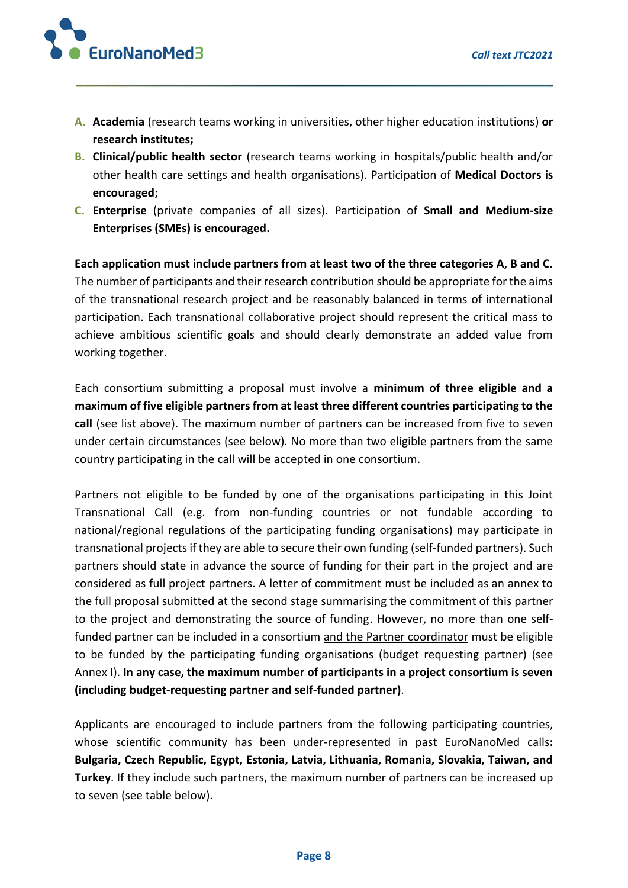

- **A. Academia** (research teams working in universities, other higher education institutions) **or research institutes;**
- **B. Clinical/public health sector** (research teams working in hospitals/public health and/or other health care settings and health organisations). Participation of **Medical Doctors is encouraged;**
- **C. Enterprise** (private companies of all sizes). Participation of **Small and Medium-size Enterprises (SMEs) is encouraged.**

**Each application must include partners from at least two of the three categories A, B and C.**  The number of participants and their research contribution should be appropriate for the aims of the transnational research project and be reasonably balanced in terms of international participation. Each transnational collaborative project should represent the critical mass to achieve ambitious scientific goals and should clearly demonstrate an added value from working together.

Each consortium submitting a proposal must involve a **minimum of three eligible and a maximum of five eligible partners from at least three different countries participating to the call** (see list above). The maximum number of partners can be increased from five to seven under certain circumstances (see below). No more than two eligible partners from the same country participating in the call will be accepted in one consortium.

Partners not eligible to be funded by one of the organisations participating in this Joint Transnational Call (e.g. from non-funding countries or not fundable according to national/regional regulations of the participating funding organisations) may participate in transnational projects if they are able to secure their own funding (self-funded partners). Such partners should state in advance the source of funding for their part in the project and are considered as full project partners. A letter of commitment must be included as an annex to the full proposal submitted at the second stage summarising the commitment of this partner to the project and demonstrating the source of funding. However, no more than one selffunded partner can be included in a consortium and the Partner coordinator must be eligible to be funded by the participating funding organisations (budget requesting partner) (see Annex I). **In any case, the maximum number of participants in a project consortium is seven (including budget-requesting partner and self-funded partner)**.

Applicants are encouraged to include partners from the following participating countries, whose scientific community has been under-represented in past EuroNanoMed calls**: Bulgaria, Czech Republic, Egypt, Estonia, Latvia, Lithuania, Romania, Slovakia, Taiwan, and Turkey**. If they include such partners, the maximum number of partners can be increased up to seven (see table below).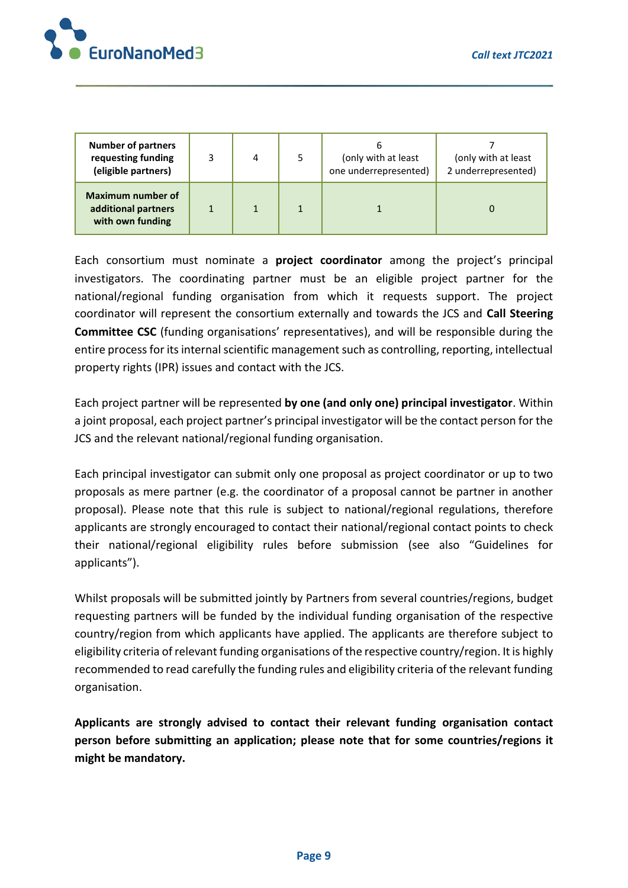

| <b>Number of partners</b><br>requesting funding<br>(eligible partners) | 4 | (only with at least<br>one underrepresented) | (only with at least<br>2 underrepresented) |
|------------------------------------------------------------------------|---|----------------------------------------------|--------------------------------------------|
| <b>Maximum number of</b><br>additional partners<br>with own funding    |   |                                              |                                            |

Each consortium must nominate a **project coordinator** among the project's principal investigators. The coordinating partner must be an eligible project partner for the national/regional funding organisation from which it requests support. The project coordinator will represent the consortium externally and towards the JCS and **Call Steering Committee CSC** (funding organisations' representatives), and will be responsible during the entire process for its internal scientific management such as controlling, reporting, intellectual property rights (IPR) issues and contact with the JCS.

Each project partner will be represented **by one (and only one) principal investigator**. Within a joint proposal, each project partner's principal investigator will be the contact person for the JCS and the relevant national/regional funding organisation.

Each principal investigator can submit only one proposal as project coordinator or up to two proposals as mere partner (e.g. the coordinator of a proposal cannot be partner in another proposal). Please note that this rule is subject to national/regional regulations, therefore applicants are strongly encouraged to contact their national/regional contact points to check their national/regional eligibility rules before submission (see also "Guidelines for applicants").

Whilst proposals will be submitted jointly by Partners from several countries/regions, budget requesting partners will be funded by the individual funding organisation of the respective country/region from which applicants have applied. The applicants are therefore subject to eligibility criteria of relevant funding organisations of the respective country/region. It is highly recommended to read carefully the funding rules and eligibility criteria of the relevant funding organisation.

**Applicants are strongly advised to contact their relevant funding organisation contact person before submitting an application; please note that for some countries/regions it might be mandatory.**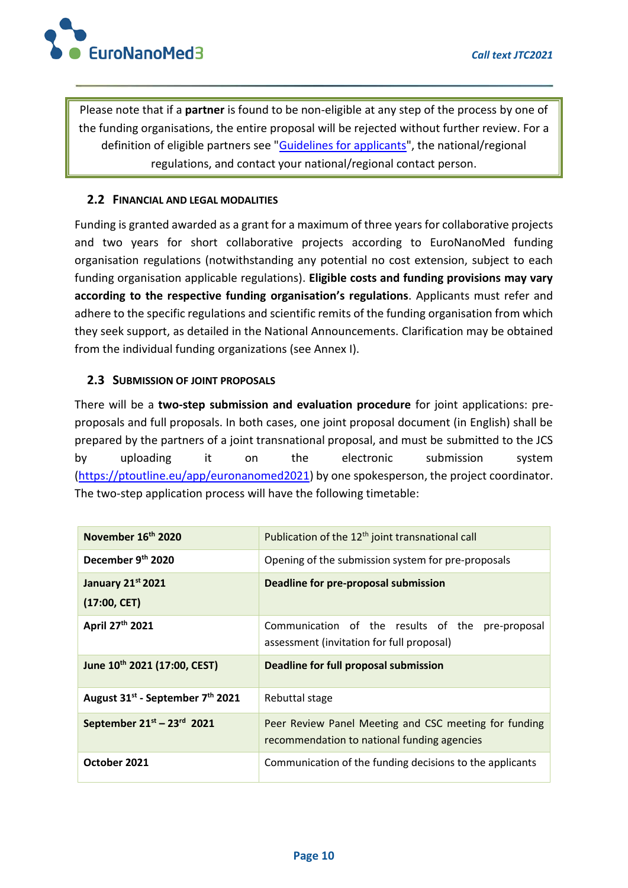

Please note that if a **partner** is found to be non-eligible at any step of the process by one of the funding organisations, the entire proposal will be rejected without further review. For a definition of eligible partners see ["Guidelines for applicants"](http://euronanomed.net/), the national/regional regulations, and contact your national/regional contact person.

#### **2.2 FINANCIAL AND LEGAL MODALITIES**

Funding is granted awarded as a grant for a maximum of three years for collaborative projects and two years for short collaborative projects according to EuroNanoMed funding organisation regulations (notwithstanding any potential no cost extension, subject to each funding organisation applicable regulations). **Eligible costs and funding provisions may vary according to the respective funding organisation's regulations**. Applicants must refer and adhere to the specific regulations and scientific remits of the funding organisation from which they seek support, as detailed in the National Announcements. Clarification may be obtained from the individual funding organizations (see Annex I).

#### **2.3 SUBMISSION OF JOINT PROPOSALS**

There will be a **two-step submission and evaluation procedure** for joint applications: preproposals and full proposals. In both cases, one joint proposal document (in English) shall be prepared by the partners of a joint transnational proposal, and must be submitted to the JCS by uploading it on the electronic submission system [\(https://ptoutline.eu/app/euronanomed2021\)](https://ptoutline.eu/app/euronanomed2021) by one spokesperson, the project coordinator. The two-step application process will have the following timetable:

| November 16th 2020                                       | Publication of the 12 <sup>th</sup> joint transnational call                                         |  |  |  |  |  |
|----------------------------------------------------------|------------------------------------------------------------------------------------------------------|--|--|--|--|--|
| December 9th 2020                                        | Opening of the submission system for pre-proposals                                                   |  |  |  |  |  |
| January 21st 2021                                        | Deadline for pre-proposal submission                                                                 |  |  |  |  |  |
| (17:00, CET)                                             |                                                                                                      |  |  |  |  |  |
| April 27th 2021                                          | Communication of the results of the pre-proposal<br>assessment (invitation for full proposal)        |  |  |  |  |  |
|                                                          |                                                                                                      |  |  |  |  |  |
| June 10th 2021 (17:00, CEST)                             | <b>Deadline for full proposal submission</b>                                                         |  |  |  |  |  |
| August 31 <sup>st</sup> - September 7 <sup>th</sup> 2021 | Rebuttal stage                                                                                       |  |  |  |  |  |
| September 21st - 23rd 2021                               | Peer Review Panel Meeting and CSC meeting for funding<br>recommendation to national funding agencies |  |  |  |  |  |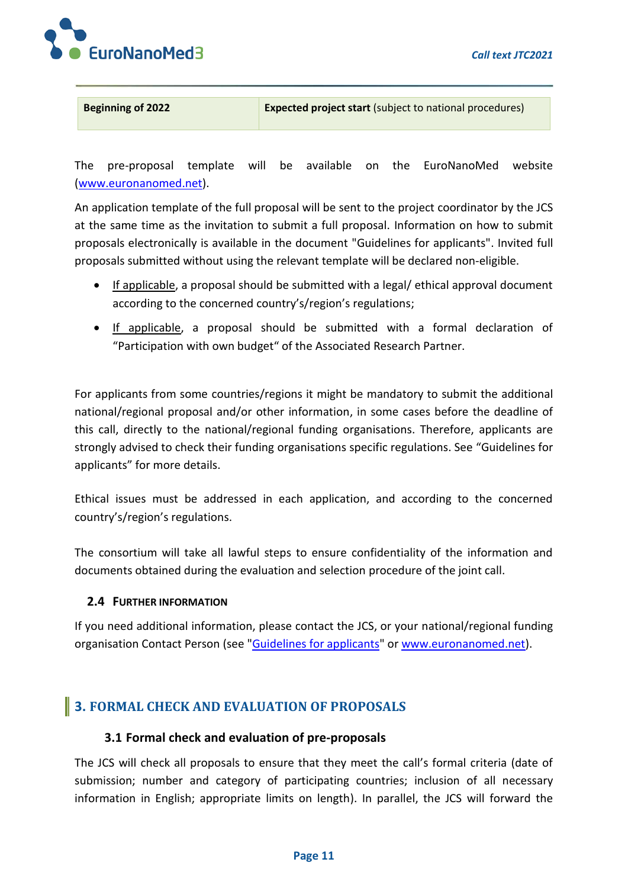

**Beginning of 2022 Expected project start** (subject to national procedures)

The pre-proposal template will be available on the EuroNanoMed website [\(www.euronanomed.net\)](http://www.euronanomed.net/).

An application template of the full proposal will be sent to the project coordinator by the JCS at the same time as the invitation to submit a full proposal. Information on how to submit proposals electronically is available in the document "Guidelines for applicants". Invited full proposals submitted without using the relevant template will be declared non-eligible.

- If applicable, a proposal should be submitted with a legal/ ethical approval document according to the concerned country's/region's regulations;
- If applicable, a proposal should be submitted with a formal declaration of "Participation with own budget" of the Associated Research Partner.

For applicants from some countries/regions it might be mandatory to submit the additional national/regional proposal and/or other information, in some cases before the deadline of this call, directly to the national/regional funding organisations. Therefore, applicants are strongly advised to check their funding organisations specific regulations. See "Guidelines for applicants" for more details.

Ethical issues must be addressed in each application, and according to the concerned country's/region's regulations.

The consortium will take all lawful steps to ensure confidentiality of the information and documents obtained during the evaluation and selection procedure of the joint call.

### **2.4 FURTHER INFORMATION**

If you need additional information, please contact the JCS, or your national/regional funding organisation Contact Person (see ["Guidelines for applicants"](http://euronanomed.net/) o[r www.euronanomed.net\)](http://www.euronanomed.net/).

## **3. FORMAL CHECK AND EVALUATION OF PROPOSALS**

### **3.1 Formal check and evaluation of pre-proposals**

The JCS will check all proposals to ensure that they meet the call's formal criteria (date of submission; number and category of participating countries; inclusion of all necessary information in English; appropriate limits on length). In parallel, the JCS will forward the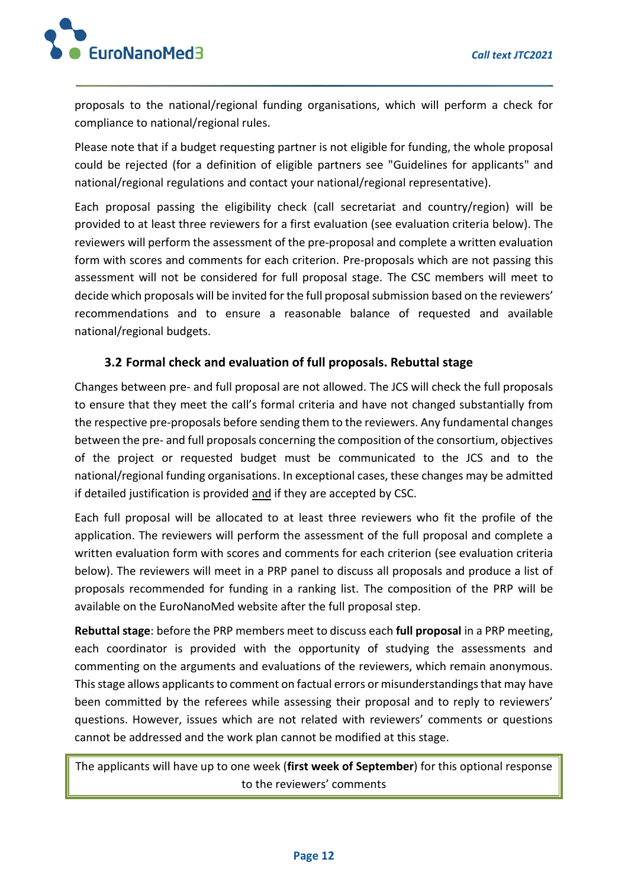

proposals to the national/regional funding organisations, which will perform a check for compliance to national/regional rules.

Please note that if a budget requesting partner is not eligible for funding, the whole proposal could be rejected (for a definition of eligible partners see "Guidelines for applicants" and national/regional regulations and contact your national/regional representative).

Each proposal passing the eligibility check (call secretariat and country/region) will be provided to at least three reviewers for a first evaluation (see evaluation criteria below). The reviewers will perform the assessment of the pre-proposal and complete a written evaluation form with scores and comments for each criterion. Pre-proposals which are not passing this assessment will not be considered for full proposal stage. The CSC members will meet to decide which proposals will be invited for the full proposal submission based on the reviewers' recommendations and to ensure a reasonable balance of requested and available national/regional budgets.

### **3.2 Formal check and evaluation of full proposals. Rebuttal stage**

Changes between pre- and full proposal are not allowed. The JCS will check the full proposals to ensure that they meet the call's formal criteria and have not changed substantially from the respective pre-proposals before sending them to the reviewers. Any fundamental changes between the pre- and full proposals concerning the composition of the consortium, objectives of the project or requested budget must be communicated to the JCS and to the national/regional funding organisations. In exceptional cases, these changes may be admitted if detailed justification is provided and if they are accepted by CSC.

Each full proposal will be allocated to at least three reviewers who fit the profile of the application. The reviewers will perform the assessment of the full proposal and complete a written evaluation form with scores and comments for each criterion (see evaluation criteria below). The reviewers will meet in a PRP panel to discuss all proposals and produce a list of proposals recommended for funding in a ranking list. The composition of the PRP will be available on the EuroNanoMed website after the full proposal step.

**Rebuttal stage**: before the PRP members meet to discuss each **full proposal** in a PRP meeting, each coordinator is provided with the opportunity of studying the assessments and commenting on the arguments and evaluations of the reviewers, which remain anonymous. This stage allows applicants to comment on factual errors or misunderstandings that may have been committed by the referees while assessing their proposal and to reply to reviewers' questions. However, issues which are not related with reviewers' comments or questions cannot be addressed and the work plan cannot be modified at this stage.

The applicants will have up to one week (**first week of September**) for this optional response to the reviewers' comments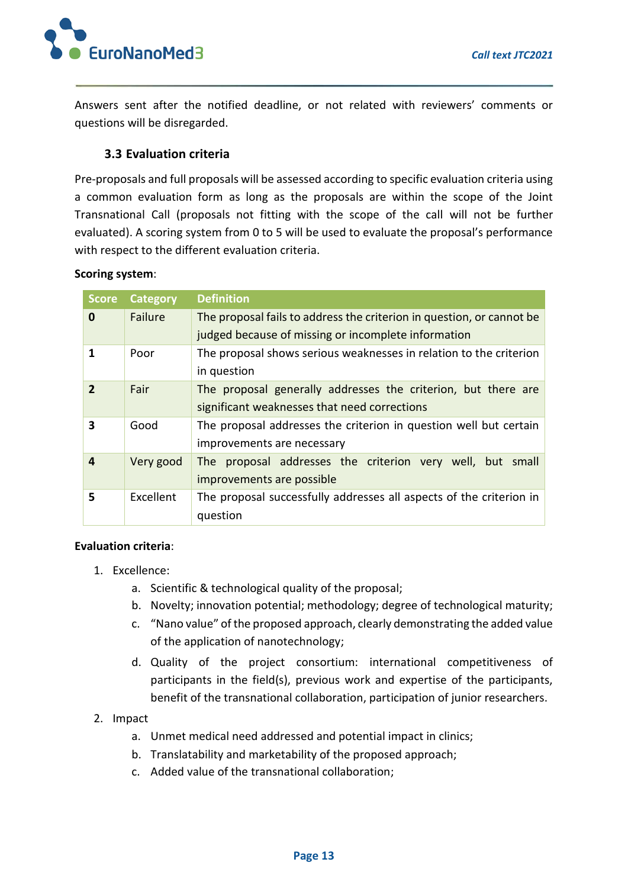

Answers sent after the notified deadline, or not related with reviewers' comments or questions will be disregarded.

### **3.3 Evaluation criteria**

Pre-proposals and full proposals will be assessed according to specific evaluation criteria using a common evaluation form as long as the proposals are within the scope of the Joint Transnational Call (proposals not fitting with the scope of the call will not be further evaluated). A scoring system from 0 to 5 will be used to evaluate the proposal's performance with respect to the different evaluation criteria.

#### **Scoring system**:

| <b>Score</b>   | <b>Category</b> | <b>Definition</b>                                                     |  |  |  |  |  |  |  |  |
|----------------|-----------------|-----------------------------------------------------------------------|--|--|--|--|--|--|--|--|
| $\bf{0}$       | Failure         | The proposal fails to address the criterion in question, or cannot be |  |  |  |  |  |  |  |  |
|                |                 | judged because of missing or incomplete information                   |  |  |  |  |  |  |  |  |
| 1              | Poor            | The proposal shows serious weaknesses in relation to the criterion    |  |  |  |  |  |  |  |  |
|                |                 | in question                                                           |  |  |  |  |  |  |  |  |
| $\mathfrak{p}$ | Fair            | The proposal generally addresses the criterion, but there are         |  |  |  |  |  |  |  |  |
|                |                 | significant weaknesses that need corrections                          |  |  |  |  |  |  |  |  |
| 3              | Good            | The proposal addresses the criterion in question well but certain     |  |  |  |  |  |  |  |  |
|                |                 | improvements are necessary                                            |  |  |  |  |  |  |  |  |
| 4              | Very good       | The proposal addresses the criterion very well, but small             |  |  |  |  |  |  |  |  |
|                |                 | improvements are possible                                             |  |  |  |  |  |  |  |  |
| 5              | Excellent       | The proposal successfully addresses all aspects of the criterion in   |  |  |  |  |  |  |  |  |
|                |                 | question                                                              |  |  |  |  |  |  |  |  |

#### **Evaluation criteria**:

- 1. Excellence:
	- a. Scientific & technological quality of the proposal;
	- b. Novelty; innovation potential; methodology; degree of technological maturity;
	- c. "Nano value" of the proposed approach, clearly demonstrating the added value of the application of nanotechnology;
	- d. Quality of the project consortium: international competitiveness of participants in the field(s), previous work and expertise of the participants, benefit of the transnational collaboration, participation of junior researchers.

### 2. Impact

- a. Unmet medical need addressed and potential impact in clinics;
- b. Translatability and marketability of the proposed approach;
- c. Added value of the transnational collaboration;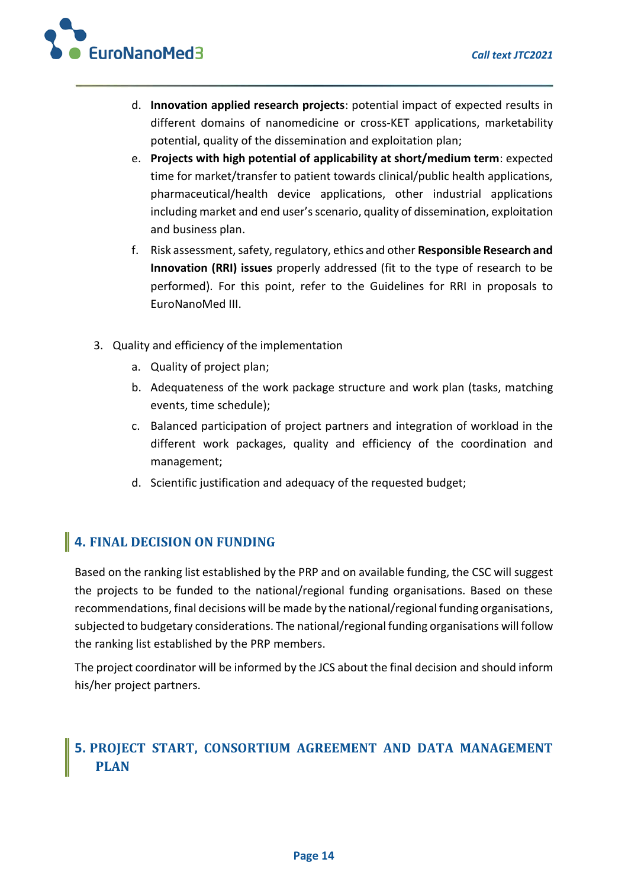

- d. **Innovation applied research projects**: potential impact of expected results in different domains of nanomedicine or cross-KET applications, marketability potential, quality of the dissemination and exploitation plan;
- e. **Projects with high potential of applicability at short/medium term**: expected time for market/transfer to patient towards clinical/public health applications, pharmaceutical/health device applications, other industrial applications including market and end user's scenario, quality of dissemination, exploitation and business plan.
- f. Risk assessment, safety, regulatory, ethics and other **Responsible Research and Innovation (RRI) issues** properly addressed (fit to the type of research to be performed). For this point, refer to the Guidelines for RRI in proposals to EuroNanoMed III.
- 3. Quality and efficiency of the implementation
	- a. Quality of project plan;
	- b. Adequateness of the work package structure and work plan (tasks, matching events, time schedule);
	- c. Balanced participation of project partners and integration of workload in the different work packages, quality and efficiency of the coordination and management;
	- d. Scientific justification and adequacy of the requested budget;

## **4. FINAL DECISION ON FUNDING**

Based on the ranking list established by the PRP and on available funding, the CSC will suggest the projects to be funded to the national/regional funding organisations. Based on these recommendations, final decisions will be made by the national/regional funding organisations, subjected to budgetary considerations. The national/regional funding organisations will follow the ranking list established by the PRP members.

The project coordinator will be informed by the JCS about the final decision and should inform his/her project partners.

## **5. PROJECT START, CONSORTIUM AGREEMENT AND DATA MANAGEMENT PLAN**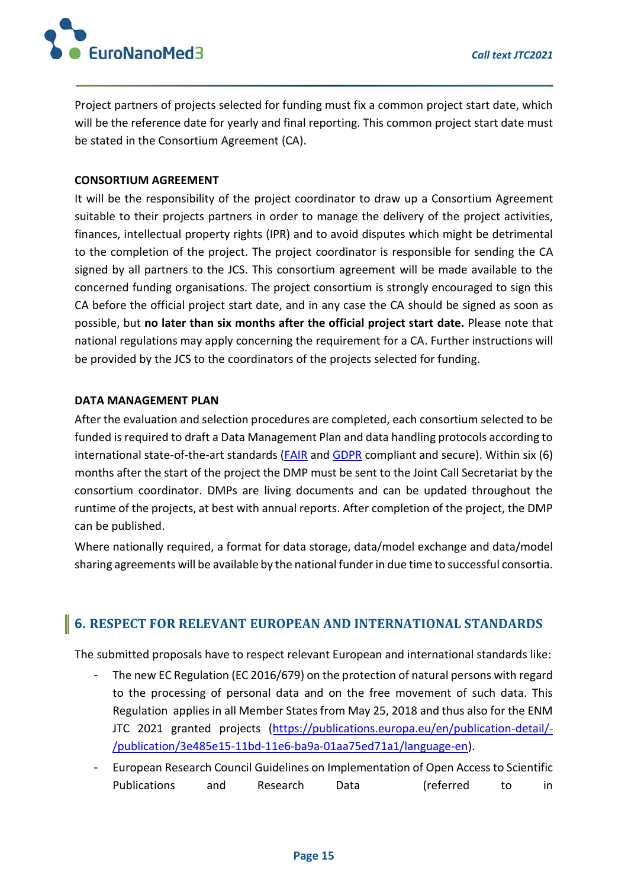

Project partners of projects selected for funding must fix a common project start date, which will be the reference date for yearly and final reporting. This common project start date must be stated in the Consortium Agreement (CA).

#### **CONSORTIUM AGREEMENT**

It will be the responsibility of the project coordinator to draw up a Consortium Agreement suitable to their projects partners in order to manage the delivery of the project activities, finances, intellectual property rights (IPR) and to avoid disputes which might be detrimental to the completion of the project. The project coordinator is responsible for sending the CA signed by all partners to the JCS. This consortium agreement will be made available to the concerned funding organisations. The project consortium is strongly encouraged to sign this CA before the official project start date, and in any case the CA should be signed as soon as possible, but **no later than six months after the official project start date.** Please note that national regulations may apply concerning the requirement for a CA. Further instructions will be provided by the JCS to the coordinators of the projects selected for funding.

#### **DATA MANAGEMENT PLAN**

After the evaluation and selection procedures are completed, each consortium selected to be funded is required to draft a Data Management Plan and data handling protocols according to international state-of-the-art standards [\(FAIR](https://www.nature.com/articles/sdata201618) and [GDPR](https://ec.europa.eu/info/law/law-topic/data-protection/eu-data-protection-rules_en) compliant and secure). Within six (6) months after the start of the project the DMP must be sent to the Joint Call Secretariat by the consortium coordinator. DMPs are living documents and can be updated throughout the runtime of the projects, at best with annual reports. After completion of the project, the DMP can be published.

Where nationally required, a format for data storage, data/model exchange and data/model sharing agreements will be available by the national funder in due time to successful consortia.

## **6. RESPECT FOR RELEVANT EUROPEAN AND INTERNATIONAL STANDARDS**

The submitted proposals have to respect relevant European and international standards like:

- The new EC Regulation (EC 2016/679) on the protection of natural persons with regard to the processing of personal data and on the free movement of such data. This Regulation applies in all Member States from May 25, 2018 and thus also for the ENM JTC 2021 granted projects [\(https://publications.europa.eu/en/publication-detail/-](https://publications.europa.eu/en/publication-detail/-/publication/3e485e15-11bd-11e6-ba9a-01aa75ed71a1/language-en) [/publication/3e485e15-11bd-11e6-ba9a-01aa75ed71a1/language-en\)](https://publications.europa.eu/en/publication-detail/-/publication/3e485e15-11bd-11e6-ba9a-01aa75ed71a1/language-en).
- European Research Council Guidelines on Implementation of Open Access to Scientific Publications and Research Data (referred to in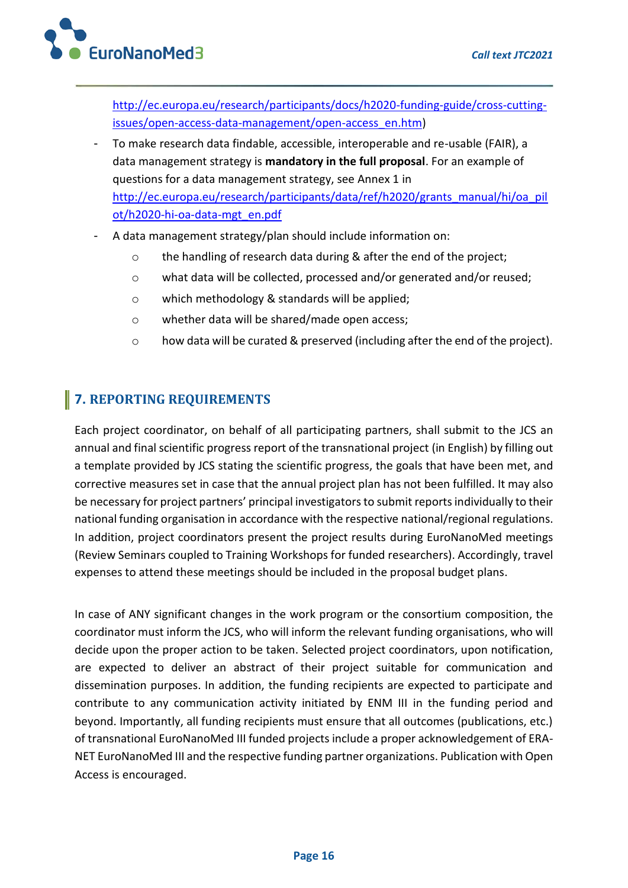

[http://ec.europa.eu/research/participants/docs/h2020-funding-guide/cross-cutting](http://ec.europa.eu/research/participants/docs/h2020-funding-guide/cross-cutting-issues/open-access-data-management/open-access_en.htm)[issues/open-access-data-management/open-access\\_en.htm\)](http://ec.europa.eu/research/participants/docs/h2020-funding-guide/cross-cutting-issues/open-access-data-management/open-access_en.htm)

- To make research data findable, accessible, interoperable and re-usable (FAIR), a data management strategy is **mandatory in the full proposal**. For an example of questions for a data management strategy, see Annex 1 in [http://ec.europa.eu/research/participants/data/ref/h2020/grants\\_manual/hi/oa\\_pil](http://ec.europa.eu/research/participants/data/ref/h2020/grants_manual/hi/oa_pilot/h2020-hi-oa-data-mgt_en.pdf) [ot/h2020-hi-oa-data-mgt\\_en.pdf](http://ec.europa.eu/research/participants/data/ref/h2020/grants_manual/hi/oa_pilot/h2020-hi-oa-data-mgt_en.pdf)
- A data management strategy/plan should include information on:
	- o the handling of research data during & after the end of the project;
	- o what data will be collected, processed and/or generated and/or reused;
	- o which methodology & standards will be applied;
	- o whether data will be shared/made open access;
	- o how data will be curated & preserved (including after the end of the project).

## **7. REPORTING REQUIREMENTS**

Each project coordinator, on behalf of all participating partners, shall submit to the JCS an annual and final scientific progress report of the transnational project (in English) by filling out a template provided by JCS stating the scientific progress, the goals that have been met, and corrective measures set in case that the annual project plan has not been fulfilled. It may also be necessary for project partners' principal investigators to submit reports individually to their national funding organisation in accordance with the respective national/regional regulations. In addition, project coordinators present the project results during EuroNanoMed meetings (Review Seminars coupled to Training Workshops for funded researchers). Accordingly, travel expenses to attend these meetings should be included in the proposal budget plans.

In case of ANY significant changes in the work program or the consortium composition, the coordinator must inform the JCS, who will inform the relevant funding organisations, who will decide upon the proper action to be taken. Selected project coordinators, upon notification, are expected to deliver an abstract of their project suitable for communication and dissemination purposes. In addition, the funding recipients are expected to participate and contribute to any communication activity initiated by ENM III in the funding period and beyond. Importantly, all funding recipients must ensure that all outcomes (publications, etc.) of transnational EuroNanoMed III funded projects include a proper acknowledgement of ERA-NET EuroNanoMed III and the respective funding partner organizations. Publication with Open Access is encouraged.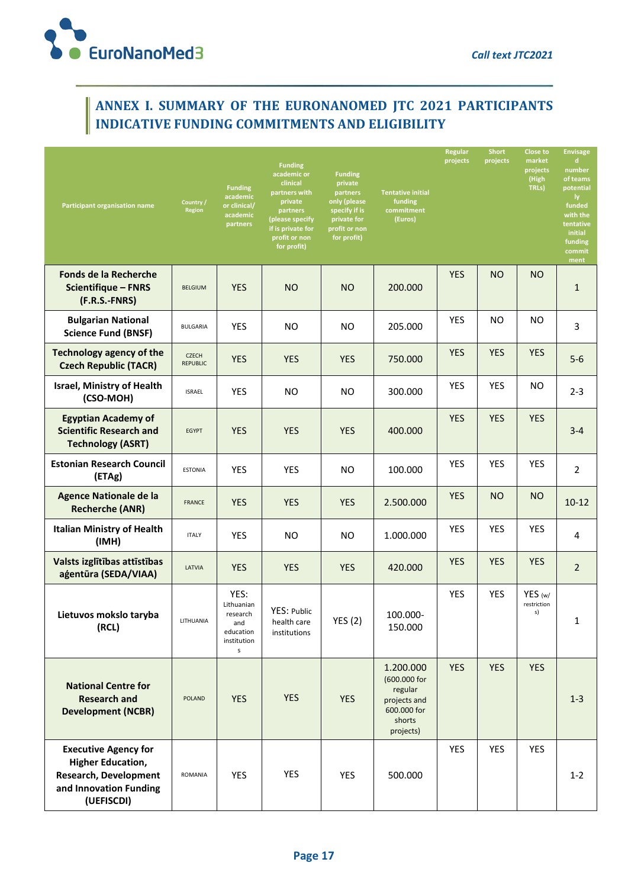

## **ANNEX I. SUMMARY OF THE EURONANOMED JTC 2021 PARTICIPANTS INDICATIVE FUNDING COMMITMENTS AND ELIGIBILITY**

| <b>Participant organisation name</b>                                                                                            | Country /<br><b>Region</b>      | <b>Funding</b><br>academic<br>or clinical/<br>academic<br>partners     | <b>Funding</b><br>academic or<br>clinical<br>partners with<br>private<br>partners<br>(please specify<br>if is private for<br>profit or non<br>for profit) | <b>Funding</b><br>private<br>partners<br>only (please<br>specify if is<br>private for<br>profit or non<br>for profit) | <b>Tentative initial</b><br>funding<br>commitment<br>(Euros)                               | Regular<br>projects | <b>Short</b><br>projects | <b>Close to</b><br>market<br>projects<br>(High<br>TRLs) | <b>Envisage</b><br>d<br>number<br>of teams<br>potential<br>ly.<br>funded<br>with the<br>tentative<br>initial<br>funding<br>commit<br>ment |
|---------------------------------------------------------------------------------------------------------------------------------|---------------------------------|------------------------------------------------------------------------|-----------------------------------------------------------------------------------------------------------------------------------------------------------|-----------------------------------------------------------------------------------------------------------------------|--------------------------------------------------------------------------------------------|---------------------|--------------------------|---------------------------------------------------------|-------------------------------------------------------------------------------------------------------------------------------------------|
| <b>Fonds de la Recherche</b><br><b>Scientifique - FNRS</b><br>(F.R.S.-FNRS)                                                     | <b>BELGIUM</b>                  | <b>YES</b>                                                             | <b>NO</b>                                                                                                                                                 | <b>NO</b>                                                                                                             | 200.000                                                                                    | <b>YES</b>          | <b>NO</b>                | <b>NO</b>                                               | $\mathbf{1}$                                                                                                                              |
| <b>Bulgarian National</b><br><b>Science Fund (BNSF)</b>                                                                         | BULGARIA                        | <b>YES</b>                                                             | NO.                                                                                                                                                       | NO.                                                                                                                   | 205.000                                                                                    | <b>YES</b>          | NO.                      | ΝO                                                      | 3                                                                                                                                         |
| <b>Technology agency of the</b><br><b>Czech Republic (TACR)</b>                                                                 | <b>CZECH</b><br><b>REPUBLIC</b> | <b>YES</b>                                                             | <b>YES</b>                                                                                                                                                | <b>YES</b>                                                                                                            | 750.000                                                                                    | <b>YES</b>          | <b>YES</b>               | <b>YES</b>                                              | $5-6$                                                                                                                                     |
| <b>Israel, Ministry of Health</b><br>(CSO-MOH)                                                                                  | <b>ISRAEL</b>                   | <b>YES</b>                                                             | NO.                                                                                                                                                       | NO.                                                                                                                   | 300.000                                                                                    | <b>YES</b>          | YES                      | ΝO                                                      | $2 - 3$                                                                                                                                   |
| <b>Egyptian Academy of</b><br><b>Scientific Research and</b><br><b>Technology (ASRT)</b>                                        | <b>EGYPT</b>                    | <b>YES</b>                                                             | <b>YES</b>                                                                                                                                                | <b>YES</b>                                                                                                            | 400.000                                                                                    | <b>YES</b>          | <b>YES</b>               | <b>YES</b>                                              | $3 - 4$                                                                                                                                   |
| <b>Estonian Research Council</b><br>(ETAg)                                                                                      | <b>ESTONIA</b>                  | YES                                                                    | YES                                                                                                                                                       | <b>NO</b>                                                                                                             | 100.000                                                                                    | <b>YES</b>          | YES                      | <b>YES</b>                                              | 2                                                                                                                                         |
| <b>Agence Nationale de la</b><br><b>Recherche (ANR)</b>                                                                         | <b>FRANCE</b>                   | <b>YES</b>                                                             | <b>YES</b>                                                                                                                                                | <b>YES</b>                                                                                                            | 2.500.000                                                                                  | <b>YES</b>          | <b>NO</b>                | <b>NO</b>                                               | $10-12$                                                                                                                                   |
| <b>Italian Ministry of Health</b><br>(IMH)                                                                                      | <b>ITALY</b>                    | <b>YES</b>                                                             | NO                                                                                                                                                        | NO.                                                                                                                   | 1.000.000                                                                                  | <b>YES</b>          | <b>YES</b>               | YES                                                     | 4                                                                                                                                         |
| Valsts izglītības attīstības<br>agentūra (SEDA/VIAA)                                                                            | LATVIA                          | <b>YES</b>                                                             | <b>YES</b>                                                                                                                                                | <b>YES</b>                                                                                                            | 420.000                                                                                    | <b>YES</b>          | <b>YES</b>               | <b>YES</b>                                              | $\overline{2}$                                                                                                                            |
| Lietuvos mokslo taryba<br>(RCL)                                                                                                 | LITHUANIA                       | YES:<br>Lithuanian<br>research<br>and<br>education<br>institution<br>s | YES: Public<br>health care<br>institutions                                                                                                                | <b>YES (2)</b>                                                                                                        | 100.000-<br>150.000                                                                        | <b>YES</b>          | YES                      | YES (w/<br>restriction<br>s)                            | $\mathbf{1}$                                                                                                                              |
| <b>National Centre for</b><br><b>Research and</b><br><b>Development (NCBR)</b>                                                  | <b>POLAND</b>                   | <b>YES</b>                                                             | <b>YES</b>                                                                                                                                                | <b>YES</b>                                                                                                            | 1.200.000<br>(600.000 for<br>regular<br>projects and<br>600.000 for<br>shorts<br>projects) | <b>YES</b>          | <b>YES</b>               | <b>YES</b>                                              | $1 - 3$                                                                                                                                   |
| <b>Executive Agency for</b><br><b>Higher Education,</b><br><b>Research, Development</b><br>and Innovation Funding<br>(UEFISCDI) | ROMANIA                         | <b>YES</b>                                                             | YES                                                                                                                                                       | <b>YES</b>                                                                                                            | 500.000                                                                                    | <b>YES</b>          | <b>YES</b>               | <b>YES</b>                                              | $1 - 2$                                                                                                                                   |